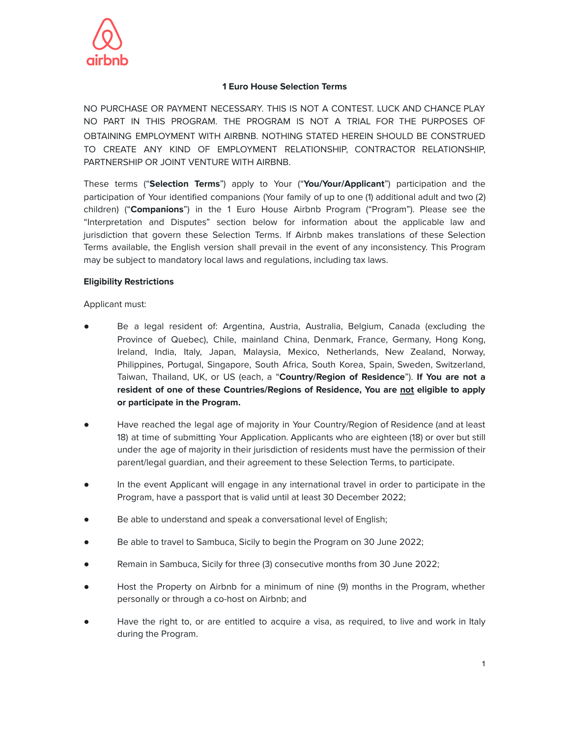

### **1 Euro House Selection Terms**

NO PURCHASE OR PAYMENT NECESSARY. THIS IS NOT A CONTEST. LUCK AND CHANCE PLAY NO PART IN THIS PROGRAM. THE PROGRAM IS NOT A TRIAL FOR THE PURPOSES OF OBTAINING EMPLOYMENT WITH AIRBNB. NOTHING STATED HEREIN SHOULD BE CONSTRUED TO CREATE ANY KIND OF EMPLOYMENT RELATIONSHIP, CONTRACTOR RELATIONSHIP, PARTNERSHIP OR JOINT VENTURE WITH AIRBNB.

These terms ("**Selection Terms**") apply to Your ("**You/Your/Applicant**") participation and the participation of Your identified companions (Your family of up to one (1) additional adult and two (2) children) ("**Companions**") in the 1 Euro House Airbnb Program ("Program"). Please see the "Interpretation and Disputes" section below for information about the applicable law and jurisdiction that govern these Selection Terms. If Airbnb makes translations of these Selection Terms available, the English version shall prevail in the event of any inconsistency. This Program may be subject to mandatory local laws and regulations, including tax laws.

#### **Eligibility Restrictions**

Applicant must:

- Be a legal resident of: Argentina, Austria, Australia, Belgium, Canada (excluding the Province of Quebec), Chile, mainland China, Denmark, France, Germany, Hong Kong, Ireland, India, Italy, Japan, Malaysia, Mexico, Netherlands, New Zealand, Norway, Philippines, Portugal, Singapore, South Africa, South Korea, Spain, Sweden, Switzerland, Taiwan, Thailand, UK, or US (each, a "**Country/Region of Residence**"). **If You are not a resident of one of these Countries/Regions of Residence, You are not eligible to apply or participate in the Program.**
- Have reached the legal age of majority in Your Country/Region of Residence (and at least 18) at time of submitting Your Application. Applicants who are eighteen (18) or over but still under the age of majority in their jurisdiction of residents must have the permission of their parent/legal guardian, and their agreement to these Selection Terms, to participate.
- In the event Applicant will engage in any international travel in order to participate in the Program, have a passport that is valid until at least 30 December 2022;
- Be able to understand and speak a conversational level of English;
- Be able to travel to Sambuca, Sicily to begin the Program on 30 June 2022;
- Remain in Sambuca, Sicily for three (3) consecutive months from 30 June 2022;
- Host the Property on Airbnb for a minimum of nine (9) months in the Program, whether personally or through a co-host on Airbnb; and
- Have the right to, or are entitled to acquire a visa, as required, to live and work in Italy during the Program.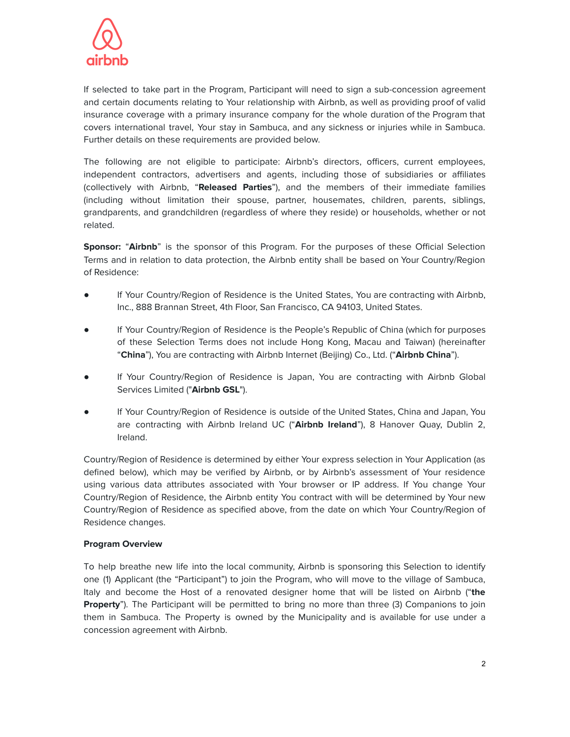

If selected to take part in the Program, Participant will need to sign a sub-concession agreement and certain documents relating to Your relationship with Airbnb, as well as providing proof of valid insurance coverage with a primary insurance company for the whole duration of the Program that covers international travel, Your stay in Sambuca, and any sickness or injuries while in Sambuca. Further details on these requirements are provided below.

The following are not eligible to participate: Airbnb's directors, officers, current employees, independent contractors, advertisers and agents, including those of subsidiaries or affiliates (collectively with Airbnb, "**Released Parties**"), and the members of their immediate families (including without limitation their spouse, partner, housemates, children, parents, siblings, grandparents, and grandchildren (regardless of where they reside) or households, whether or not related.

**Sponsor:** "**Airbnb**" is the sponsor of this Program. For the purposes of these Official Selection Terms and in relation to data protection, the Airbnb entity shall be based on Your Country/Region of Residence:

- If Your Country/Region of Residence is the United States, You are contracting with Airbnb, Inc., 888 Brannan Street, 4th Floor, San Francisco, CA 94103, United States.
- If Your Country/Region of Residence is the People's Republic of China (which for purposes of these Selection Terms does not include Hong Kong, Macau and Taiwan) (hereinafter "**China**"), You are contracting with Airbnb Internet (Beijing) Co., Ltd. ("**Airbnb China**").
- If Your Country/Region of Residence is Japan, You are contracting with Airbnb Global Services Limited ("**Airbnb GSL**").
- If Your Country/Region of Residence is outside of the United States, China and Japan, You are contracting with Airbnb Ireland UC ("**Airbnb Ireland**"), 8 Hanover Quay, Dublin 2, Ireland.

Country/Region of Residence is determined by either Your express selection in Your Application (as defined below), which may be verified by Airbnb, or by Airbnb's assessment of Your residence using various data attributes associated with Your browser or IP address. If You change Your Country/Region of Residence, the Airbnb entity You contract with will be determined by Your new Country/Region of Residence as specified above, from the date on which Your Country/Region of Residence changes.

#### **Program Overview**

To help breathe new life into the local community, Airbnb is sponsoring this Selection to identify one (1) Applicant (the "Participant") to join the Program, who will move to the village of Sambuca, Italy and become the Host of a renovated designer home that will be listed on Airbnb ("**the Property**"). The Participant will be permitted to bring no more than three (3) Companions to join them in Sambuca. The Property is owned by the Municipality and is available for use under a concession agreement with Airbnb.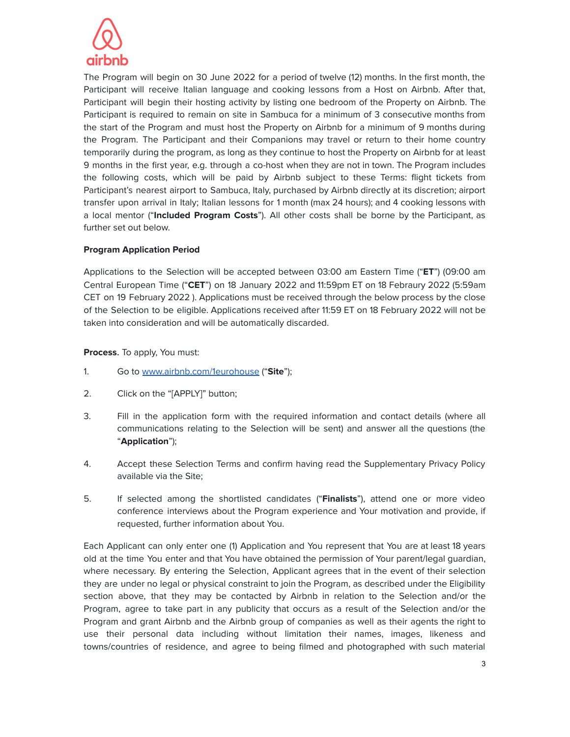

The Program will begin on 30 June 2022 for a period of twelve (12) months. In the first month, the Participant will receive Italian language and cooking lessons from a Host on Airbnb. After that, Participant will begin their hosting activity by listing one bedroom of the Property on Airbnb. The Participant is required to remain on site in Sambuca for a minimum of 3 consecutive months from the start of the Program and must host the Property on Airbnb for a minimum of 9 months during the Program. The Participant and their Companions may travel or return to their home country temporarily during the program, as long as they continue to host the Property on Airbnb for at least 9 months in the first year, e.g. through a co-host when they are not in town. The Program includes the following costs, which will be paid by Airbnb subject to these Terms: flight tickets from Participant's nearest airport to Sambuca, Italy, purchased by Airbnb directly at its discretion; airport transfer upon arrival in Italy; Italian lessons for 1 month (max 24 hours); and 4 cooking lessons with a local mentor ("**Included Program Costs**"). All other costs shall be borne by the Participant, as further set out below.

## **Program Application Period**

Applications to the Selection will be accepted between 03:00 am Eastern Time ("**ET**") (09:00 am Central European Time ("**CET**") on 18 January 2022 and 11:59pm ET on 18 Febraury 2022 (5:59am CET on 19 February 2022 ). Applications must be received through the below process by the close of the Selection to be eligible. Applications received after 11:59 ET on 18 February 2022 will not be taken into consideration and will be automatically discarded.

## **Process**. To apply, You must:

- 1. Go to [www.airbnb.com/1eurohouse](http://www.airbnb.com/1eurohouse) ("**Site**");
- 2. Click on the "[APPLY]" button;
- 3. Fill in the application form with the required information and contact details (where all communications relating to the Selection will be sent) and answer all the questions (the "**Application**");
- 4. Accept these Selection Terms and confirm having read the Supplementary Privacy Policy available via the Site;
- 5. If selected among the shortlisted candidates ("**Finalists**"), attend one or more video conference interviews about the Program experience and Your motivation and provide, if requested, further information about You.

Each Applicant can only enter one (1) Application and You represent that You are at least 18 years old at the time You enter and that You have obtained the permission of Your parent/legal guardian, where necessary. By entering the Selection, Applicant agrees that in the event of their selection they are under no legal or physical constraint to join the Program, as described under the Eligibility section above, that they may be contacted by Airbnb in relation to the Selection and/or the Program, agree to take part in any publicity that occurs as a result of the Selection and/or the Program and grant Airbnb and the Airbnb group of companies as well as their agents the right to use their personal data including without limitation their names, images, likeness and towns/countries of residence, and agree to being filmed and photographed with such material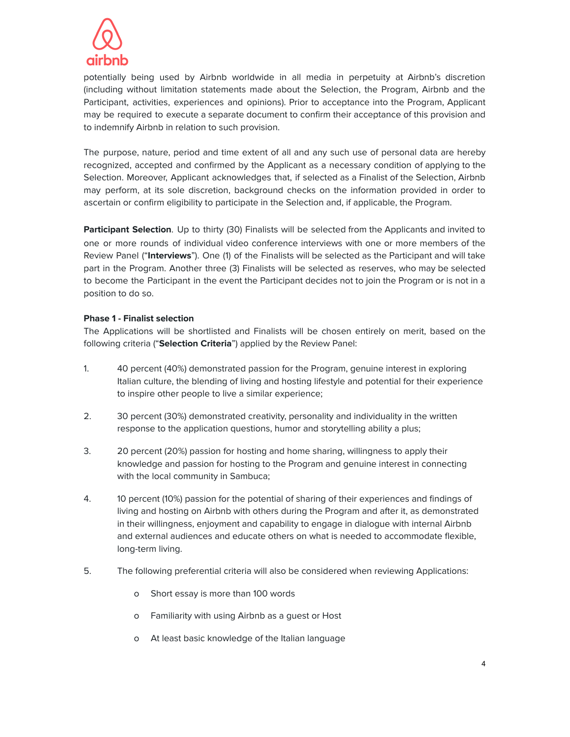

potentially being used by Airbnb worldwide in all media in perpetuity at Airbnb's discretion (including without limitation statements made about the Selection, the Program, Airbnb and the Participant, activities, experiences and opinions). Prior to acceptance into the Program, Applicant may be required to execute a separate document to confirm their acceptance of this provision and to indemnify Airbnb in relation to such provision.

The purpose, nature, period and time extent of all and any such use of personal data are hereby recognized, accepted and confirmed by the Applicant as a necessary condition of applying to the Selection. Moreover, Applicant acknowledges that, if selected as a Finalist of the Selection, Airbnb may perform, at its sole discretion, background checks on the information provided in order to ascertain or confirm eligibility to participate in the Selection and, if applicable, the Program.

**Participant Selection**. Up to thirty (30) Finalists will be selected from the Applicants and invited to one or more rounds of individual video conference interviews with one or more members of the Review Panel ("**Interviews**"). One (1) of the Finalists will be selected as the Participant and will take part in the Program. Another three (3) Finalists will be selected as reserves, who may be selected to become the Participant in the event the Participant decides not to join the Program or is not in a position to do so.

## **Phase 1 - Finalist selection**

The Applications will be shortlisted and Finalists will be chosen entirely on merit, based on the following criteria ("**Selection Criteria**") applied by the Review Panel:

- 1. 40 percent (40%) demonstrated passion for the Program, genuine interest in exploring Italian culture, the blending of living and hosting lifestyle and potential for their experience to inspire other people to live a similar experience;
- 2. 30 percent (30%) demonstrated creativity, personality and individuality in the written response to the application questions, humor and storytelling ability a plus;
- 3. 20 percent (20%) passion for hosting and home sharing, willingness to apply their knowledge and passion for hosting to the Program and genuine interest in connecting with the local community in Sambuca;
- 4. 10 percent (10%) passion for the potential of sharing of their experiences and findings of living and hosting on Airbnb with others during the Program and after it, as demonstrated in their willingness, enjoyment and capability to engage in dialogue with internal Airbnb and external audiences and educate others on what is needed to accommodate flexible, long-term living.
- 5. The following preferential criteria will also be considered when reviewing Applications:
	- o Short essay is more than 100 words
	- o Familiarity with using Airbnb as a guest or Host
	- o At least basic knowledge of the Italian language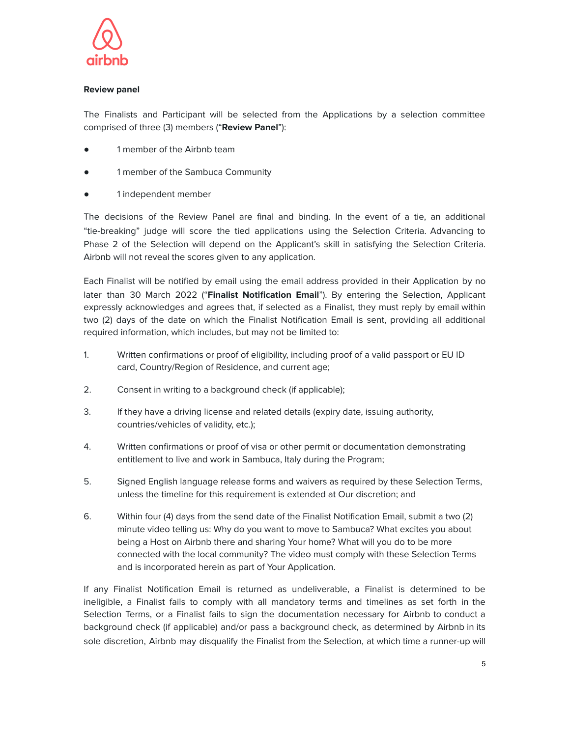

# **Review panel**

The Finalists and Participant will be selected from the Applications by a selection committee comprised of three (3) members ("**Review Panel**"):

- 1 member of the Airbnb team
- 1 member of the Sambuca Community
- 1 independent member

The decisions of the Review Panel are final and binding. In the event of a tie, an additional "tie-breaking" judge will score the tied applications using the Selection Criteria. Advancing to Phase 2 of the Selection will depend on the Applicant's skill in satisfying the Selection Criteria. Airbnb will not reveal the scores given to any application.

Each Finalist will be notified by email using the email address provided in their Application by no later than 30 March 2022 ("**Finalist Notification Email**"). By entering the Selection, Applicant expressly acknowledges and agrees that, if selected as a Finalist, they must reply by email within two (2) days of the date on which the Finalist Notification Email is sent, providing all additional required information, which includes, but may not be limited to:

- 1. Written confirmations or proof of eligibility, including proof of a valid passport or EU ID card, Country/Region of Residence, and current age;
- 2. Consent in writing to a background check (if applicable);
- 3. If they have a driving license and related details (expiry date, issuing authority, countries/vehicles of validity, etc.);
- 4. Written confirmations or proof of visa or other permit or documentation demonstrating entitlement to live and work in Sambuca, Italy during the Program;
- 5. Signed English language release forms and waivers as required by these Selection Terms, unless the timeline for this requirement is extended at Our discretion; and
- 6. Within four (4) days from the send date of the Finalist Notification Email, submit a two (2) minute video telling us: Why do you want to move to Sambuca? What excites you about being a Host on Airbnb there and sharing Your home? What will you do to be more connected with the local community? The video must comply with these Selection Terms and is incorporated herein as part of Your Application.

If any Finalist Notification Email is returned as undeliverable, a Finalist is determined to be ineligible, a Finalist fails to comply with all mandatory terms and timelines as set forth in the Selection Terms, or a Finalist fails to sign the documentation necessary for Airbnb to conduct a background check (if applicable) and/or pass a background check, as determined by Airbnb in its sole discretion, Airbnb may disqualify the Finalist from the Selection, at which time a runner-up will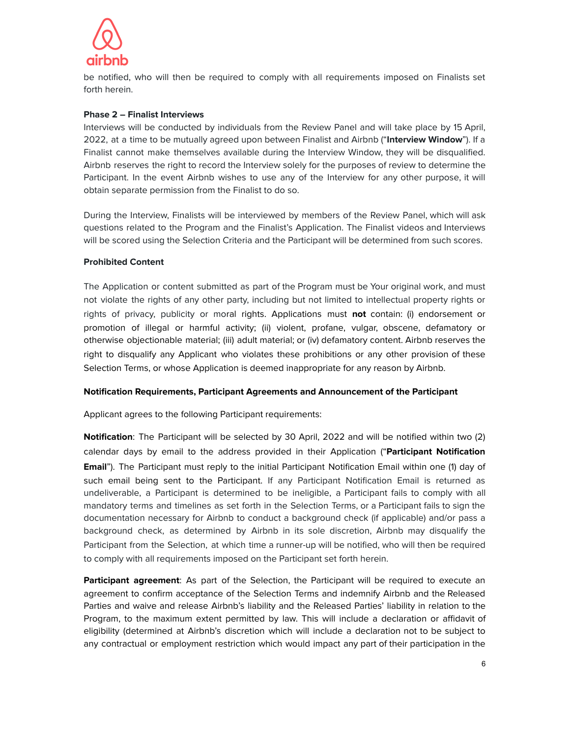

be notified, who will then be required to comply with all requirements imposed on Finalists set forth herein.

### **Phase 2 – Finalist Interviews**

Interviews will be conducted by individuals from the Review Panel and will take place by 15 April, 2022, at a time to be mutually agreed upon between Finalist and Airbnb ("**Interview Window**"). If a Finalist cannot make themselves available during the Interview Window, they will be disqualified. Airbnb reserves the right to record the Interview solely for the purposes of review to determine the Participant. In the event Airbnb wishes to use any of the Interview for any other purpose, it will obtain separate permission from the Finalist to do so.

During the Interview, Finalists will be interviewed by members of the Review Panel, which will ask questions related to the Program and the Finalist's Application. The Finalist videos and Interviews will be scored using the Selection Criteria and the Participant will be determined from such scores.

#### **Prohibited Content**

The Application or content submitted as part of the Program must be Your original work, and must not violate the rights of any other party, including but not limited to intellectual property rights or rights of privacy, publicity or moral rights. Applications must **not** contain: (i) endorsement or promotion of illegal or harmful activity; (ii) violent, profane, vulgar, obscene, defamatory or otherwise objectionable material; (iii) adult material; or (iv) defamatory content. Airbnb reserves the right to disqualify any Applicant who violates these prohibitions or any other provision of these Selection Terms, or whose Application is deemed inappropriate for any reason by Airbnb.

#### **Notification Requirements, Participant Agreements and Announcement of the Participant**

Applicant agrees to the following Participant requirements:

**Notification**: The Participant will be selected by 30 April, 2022 and will be notified within two (2) calendar days by email to the address provided in their Application ("**Participant Notification Email**"). The Participant must reply to the initial Participant Notification Email within one (1) day of such email being sent to the Participant. If any Participant Notification Email is returned as undeliverable, a Participant is determined to be ineligible, a Participant fails to comply with all mandatory terms and timelines as set forth in the Selection Terms, or a Participant fails to sign the documentation necessary for Airbnb to conduct a background check (if applicable) and/or pass a background check, as determined by Airbnb in its sole discretion, Airbnb may disqualify the Participant from the Selection, at which time a runner-up will be notified, who will then be required to comply with all requirements imposed on the Participant set forth herein.

**Participant agreement**: As part of the Selection, the Participant will be required to execute an agreement to confirm acceptance of the Selection Terms and indemnify Airbnb and the Released Parties and waive and release Airbnb's liability and the Released Parties' liability in relation to the Program, to the maximum extent permitted by law. This will include a declaration or affidavit of eligibility (determined at Airbnb's discretion which will include a declaration not to be subject to any contractual or employment restriction which would impact any part of their participation in the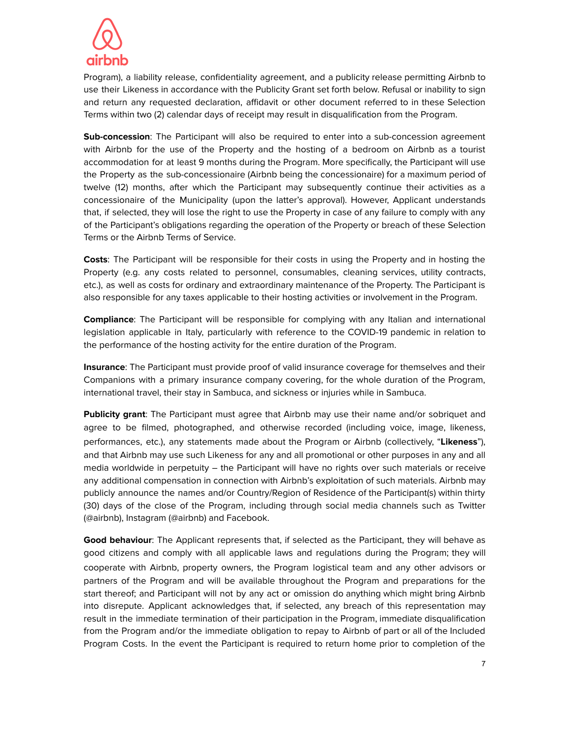

Program), a liability release, confidentiality agreement, and a publicity release permitting Airbnb to use their Likeness in accordance with the Publicity Grant set forth below. Refusal or inability to sign and return any requested declaration, affidavit or other document referred to in these Selection Terms within two (2) calendar days of receipt may result in disqualification from the Program.

**Sub-concession**: The Participant will also be required to enter into a sub-concession agreement with Airbnb for the use of the Property and the hosting of a bedroom on Airbnb as a tourist accommodation for at least 9 months during the Program. More specifically, the Participant will use the Property as the sub-concessionaire (Airbnb being the concessionaire) for a maximum period of twelve (12) months, after which the Participant may subsequently continue their activities as a concessionaire of the Municipality (upon the latter's approval). However, Applicant understands that, if selected, they will lose the right to use the Property in case of any failure to comply with any of the Participant's obligations regarding the operation of the Property or breach of these Selection Terms or the Airbnb Terms of Service.

**Costs**: The Participant will be responsible for their costs in using the Property and in hosting the Property (e.g. any costs related to personnel, consumables, cleaning services, utility contracts, etc.), as well as costs for ordinary and extraordinary maintenance of the Property. The Participant is also responsible for any taxes applicable to their hosting activities or involvement in the Program.

**Compliance**: The Participant will be responsible for complying with any Italian and international legislation applicable in Italy, particularly with reference to the COVID-19 pandemic in relation to the performance of the hosting activity for the entire duration of the Program.

**Insurance**: The Participant must provide proof of valid insurance coverage for themselves and their Companions with a primary insurance company covering, for the whole duration of the Program, international travel, their stay in Sambuca, and sickness or injuries while in Sambuca.

**Publicity grant**: The Participant must agree that Airbnb may use their name and/or sobriquet and agree to be filmed, photographed, and otherwise recorded (including voice, image, likeness, performances, etc.), any statements made about the Program or Airbnb (collectively, "**Likeness**"), and that Airbnb may use such Likeness for any and all promotional or other purposes in any and all media worldwide in perpetuity – the Participant will have no rights over such materials or receive any additional compensation in connection with Airbnb's exploitation of such materials. Airbnb may publicly announce the names and/or Country/Region of Residence of the Participant(s) within thirty (30) days of the close of the Program, including through social media channels such as Twitter (@airbnb), Instagram (@airbnb) and Facebook.

**Good behaviour**: The Applicant represents that, if selected as the Participant, they will behave as good citizens and comply with all applicable laws and regulations during the Program; they will cooperate with Airbnb, property owners, the Program logistical team and any other advisors or partners of the Program and will be available throughout the Program and preparations for the start thereof; and Participant will not by any act or omission do anything which might bring Airbnb into disrepute. Applicant acknowledges that, if selected, any breach of this representation may result in the immediate termination of their participation in the Program, immediate disqualification from the Program and/or the immediate obligation to repay to Airbnb of part or all of the Included Program Costs. In the event the Participant is required to return home prior to completion of the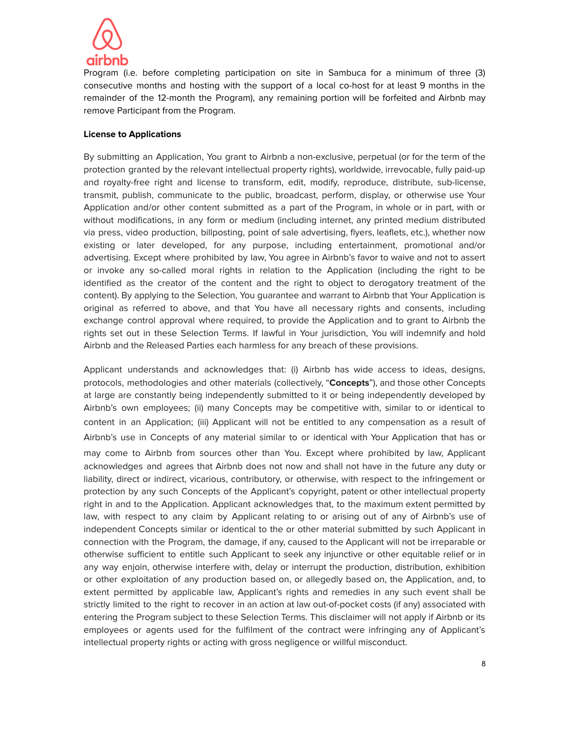

Program (i.e. before completing participation on site in Sambuca for a minimum of three (3) consecutive months and hosting with the support of a local co-host for at least 9 months in the remainder of the 12-month the Program), any remaining portion will be forfeited and Airbnb may remove Participant from the Program.

#### **License to Applications**

By submitting an Application, You grant to Airbnb a non-exclusive, perpetual (or for the term of the protection granted by the relevant intellectual property rights), worldwide, irrevocable, fully paid-up and royalty-free right and license to transform, edit, modify, reproduce, distribute, sub-license, transmit, publish, communicate to the public, broadcast, perform, display, or otherwise use Your Application and/or other content submitted as a part of the Program, in whole or in part, with or without modifications, in any form or medium (including internet, any printed medium distributed via press, video production, billposting, point of sale advertising, flyers, leaflets, etc.), whether now existing or later developed, for any purpose, including entertainment, promotional and/or advertising. Except where prohibited by law, You agree in Airbnb's favor to waive and not to assert or invoke any so-called moral rights in relation to the Application (including the right to be identified as the creator of the content and the right to object to derogatory treatment of the content). By applying to the Selection, You guarantee and warrant to Airbnb that Your Application is original as referred to above, and that You have all necessary rights and consents, including exchange control approval where required, to provide the Application and to grant to Airbnb the rights set out in these Selection Terms. If lawful in Your jurisdiction, You will indemnify and hold Airbnb and the Released Parties each harmless for any breach of these provisions.

Applicant understands and acknowledges that: (i) Airbnb has wide access to ideas, designs, protocols, methodologies and other materials (collectively, "**Concepts**"), and those other Concepts at large are constantly being independently submitted to it or being independently developed by Airbnb's own employees; (ii) many Concepts may be competitive with, similar to or identical to content in an Application; (iii) Applicant will not be entitled to any compensation as a result of Airbnb's use in Concepts of any material similar to or identical with Your Application that has or may come to Airbnb from sources other than You. Except where prohibited by law, Applicant acknowledges and agrees that Airbnb does not now and shall not have in the future any duty or liability, direct or indirect, vicarious, contributory, or otherwise, with respect to the infringement or protection by any such Concepts of the Applicant's copyright, patent or other intellectual property right in and to the Application. Applicant acknowledges that, to the maximum extent permitted by law, with respect to any claim by Applicant relating to or arising out of any of Airbnb's use of independent Concepts similar or identical to the or other material submitted by such Applicant in connection with the Program, the damage, if any, caused to the Applicant will not be irreparable or otherwise sufficient to entitle such Applicant to seek any injunctive or other equitable relief or in any way enjoin, otherwise interfere with, delay or interrupt the production, distribution, exhibition or other exploitation of any production based on, or allegedly based on, the Application, and, to extent permitted by applicable law, Applicant's rights and remedies in any such event shall be strictly limited to the right to recover in an action at law out-of-pocket costs (if any) associated with entering the Program subject to these Selection Terms. This disclaimer will not apply if Airbnb or its employees or agents used for the fulfilment of the contract were infringing any of Applicant's intellectual property rights or acting with gross negligence or willful misconduct.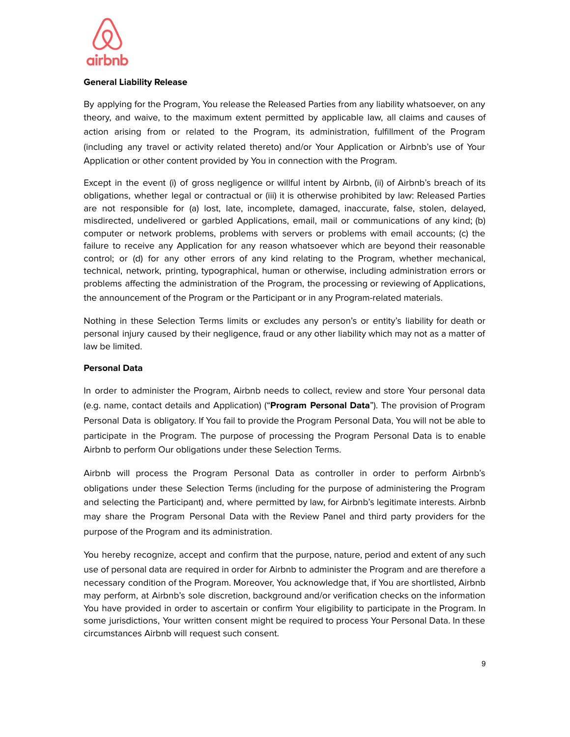

### **General Liability Release**

By applying for the Program, You release the Released Parties from any liability whatsoever, on any theory, and waive, to the maximum extent permitted by applicable law, all claims and causes of action arising from or related to the Program, its administration, fulfillment of the Program (including any travel or activity related thereto) and/or Your Application or Airbnb's use of Your Application or other content provided by You in connection with the Program.

Except in the event (i) of gross negligence or willful intent by Airbnb, (ii) of Airbnb's breach of its obligations, whether legal or contractual or (iii) it is otherwise prohibited by law: Released Parties are not responsible for (a) lost, late, incomplete, damaged, inaccurate, false, stolen, delayed, misdirected, undelivered or garbled Applications, email, mail or communications of any kind; (b) computer or network problems, problems with servers or problems with email accounts; (c) the failure to receive any Application for any reason whatsoever which are beyond their reasonable control; or (d) for any other errors of any kind relating to the Program, whether mechanical, technical, network, printing, typographical, human or otherwise, including administration errors or problems affecting the administration of the Program, the processing or reviewing of Applications, the announcement of the Program or the Participant or in any Program-related materials.

Nothing in these Selection Terms limits or excludes any person's or entity's liability for death or personal injury caused by their negligence, fraud or any other liability which may not as a matter of law be limited.

## **Personal Data**

In order to administer the Program, Airbnb needs to collect, review and store Your personal data (e.g. name, contact details and Application) ("**Program Personal Data**"). The provision of Program Personal Data is obligatory. If You fail to provide the Program Personal Data, You will not be able to participate in the Program. The purpose of processing the Program Personal Data is to enable Airbnb to perform Our obligations under these Selection Terms.

Airbnb will process the Program Personal Data as controller in order to perform Airbnb's obligations under these Selection Terms (including for the purpose of administering the Program and selecting the Participant) and, where permitted by law, for Airbnb's legitimate interests. Airbnb may share the Program Personal Data with the Review Panel and third party providers for the purpose of the Program and its administration.

You hereby recognize, accept and confirm that the purpose, nature, period and extent of any such use of personal data are required in order for Airbnb to administer the Program and are therefore a necessary condition of the Program. Moreover, You acknowledge that, if You are shortlisted, Airbnb may perform, at Airbnb's sole discretion, background and/or verification checks on the information You have provided in order to ascertain or confirm Your eligibility to participate in the Program. In some jurisdictions, Your written consent might be required to process Your Personal Data. In these circumstances Airbnb will request such consent.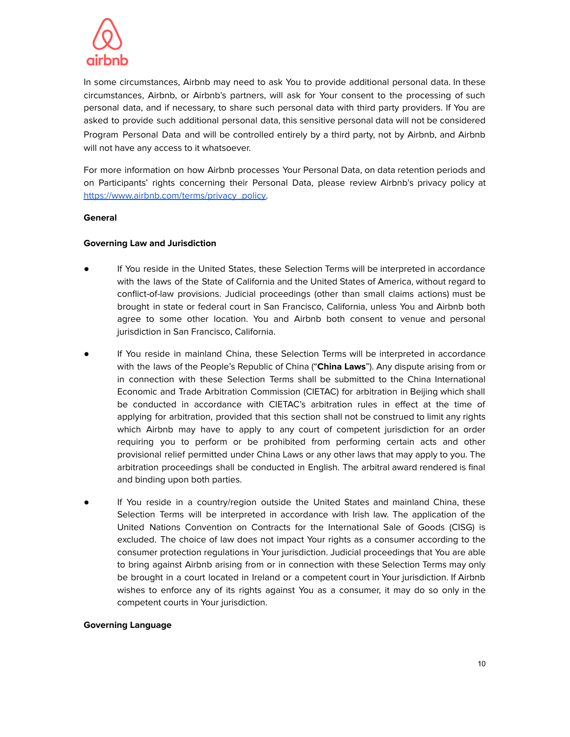

In some circumstances, Airbnb may need to ask You to provide additional personal data. In these circumstances, Airbnb, or Airbnb's partners, will ask for Your consent to the processing of such personal data, and if necessary, to share such personal data with third party providers. If You are asked to provide such additional personal data, this sensitive personal data will not be considered Program Personal Data and will be controlled entirely by a third party, not by Airbnb, and Airbnb will not have any access to it whatsoever.

For more information on how Airbnb processes Your Personal Data, on data retention periods and on Participants' rights concerning their Personal Data, please review Airbnb's privacy policy at [https://www.airbnb.com/terms/privacy\\_policy.](https://www.airbnb.com/terms/privacy_policy)

#### **General**

## **Governing Law and Jurisdiction**

- If You reside in the United States, these Selection Terms will be interpreted in accordance with the laws of the State of California and the United States of America, without regard to conflict-of-law provisions. Judicial proceedings (other than small claims actions) must be brought in state or federal court in San Francisco, California, unless You and Airbnb both agree to some other location. You and Airbnb both consent to venue and personal jurisdiction in San Francisco, California.
- If You reside in mainland China, these Selection Terms will be interpreted in accordance with the laws of the People's Republic of China ("**China Laws**"). Any dispute arising from or in connection with these Selection Terms shall be submitted to the China International Economic and Trade Arbitration Commission (CIETAC) for arbitration in Beijing which shall be conducted in accordance with CIETAC's arbitration rules in effect at the time of applying for arbitration, provided that this section shall not be construed to limit any rights which Airbnb may have to apply to any court of competent jurisdiction for an order requiring you to perform or be prohibited from performing certain acts and other provisional relief permitted under China Laws or any other laws that may apply to you. The arbitration proceedings shall be conducted in English. The arbitral award rendered is final and binding upon both parties.
- If You reside in a country/region outside the United States and mainland China, these Selection Terms will be interpreted in accordance with Irish law. The application of the United Nations Convention on Contracts for the International Sale of Goods (CISG) is excluded. The choice of law does not impact Your rights as a consumer according to the consumer protection regulations in Your jurisdiction. Judicial proceedings that You are able to bring against Airbnb arising from or in connection with these Selection Terms may only be brought in a court located in Ireland or a competent court in Your jurisdiction. If Airbnb wishes to enforce any of its rights against You as a consumer, it may do so only in the competent courts in Your jurisdiction.

#### **Governing Language**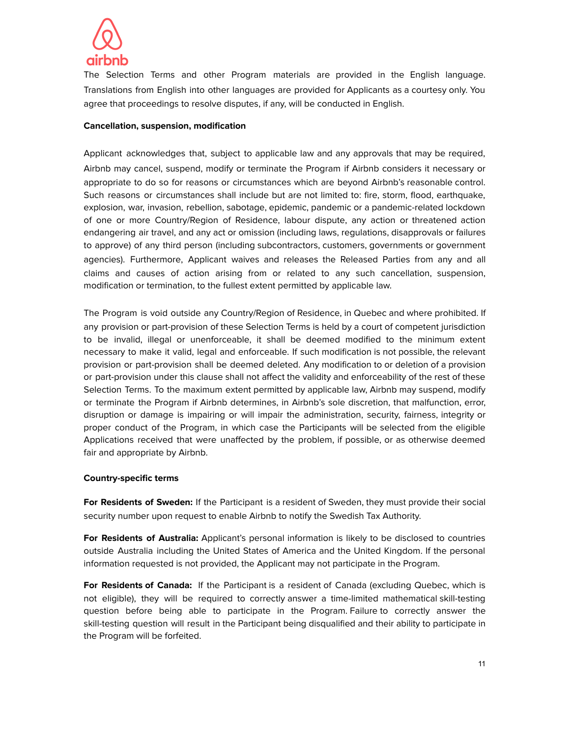

The Selection Terms and other Program materials are provided in the English language. Translations from English into other languages are provided for Applicants as a courtesy only. You agree that proceedings to resolve disputes, if any, will be conducted in English.

#### **Cancellation, suspension, modification**

Applicant acknowledges that, subject to applicable law and any approvals that may be required, Airbnb may cancel, suspend, modify or terminate the Program if Airbnb considers it necessary or appropriate to do so for reasons or circumstances which are beyond Airbnb's reasonable control. Such reasons or circumstances shall include but are not limited to: fire, storm, flood, earthquake, explosion, war, invasion, rebellion, sabotage, epidemic, pandemic or a pandemic-related lockdown of one or more Country/Region of Residence, labour dispute, any action or threatened action endangering air travel, and any act or omission (including laws, regulations, disapprovals or failures to approve) of any third person (including subcontractors, customers, governments or government agencies). Furthermore, Applicant waives and releases the Released Parties from any and all claims and causes of action arising from or related to any such cancellation, suspension, modification or termination, to the fullest extent permitted by applicable law.

The Program is void outside any Country/Region of Residence, in Quebec and where prohibited. If any provision or part-provision of these Selection Terms is held by a court of competent jurisdiction to be invalid, illegal or unenforceable, it shall be deemed modified to the minimum extent necessary to make it valid, legal and enforceable. If such modification is not possible, the relevant provision or part-provision shall be deemed deleted. Any modification to or deletion of a provision or part-provision under this clause shall not affect the validity and enforceability of the rest of these Selection Terms. To the maximum extent permitted by applicable law, Airbnb may suspend, modify or terminate the Program if Airbnb determines, in Airbnb's sole discretion, that malfunction, error, disruption or damage is impairing or will impair the administration, security, fairness, integrity or proper conduct of the Program, in which case the Participants will be selected from the eligible Applications received that were unaffected by the problem, if possible, or as otherwise deemed fair and appropriate by Airbnb.

#### **Country-specific terms**

**For Residents of Sweden:** If the Participant is a resident of Sweden, they must provide their social security number upon request to enable Airbnb to notify the Swedish Tax Authority.

**For Residents of Australia:** Applicant's personal information is likely to be disclosed to countries outside Australia including the United States of America and the United Kingdom. If the personal information requested is not provided, the Applicant may not participate in the Program.

**For Residents of Canada:** If the Participant is a resident of Canada (excluding Quebec, which is not eligible), they will be required to correctly answer a time-limited mathematical skill-testing question before being able to participate in the Program. Failure to correctly answer the skill-testing question will result in the Participant being disqualified and their ability to participate in the Program will be forfeited.